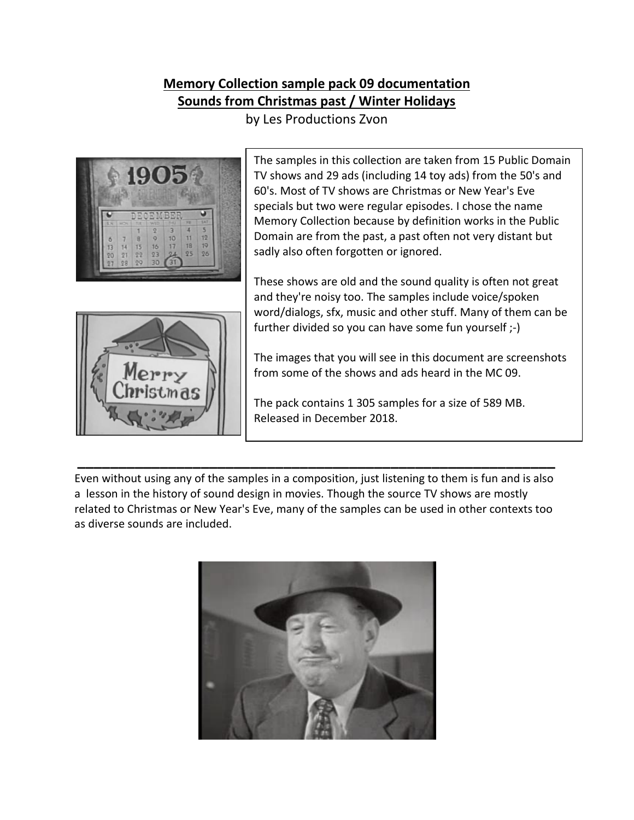## **Memory Collection sample pack 09 documentation Sounds from Christmas past / Winter Holidays**

by Les Productions Zvon



The samples in this collection are taken from 15 Public Domain TV shows and 29 ads (including 14 toy ads) from the 50's and 60's. Most of TV shows are Christmas or New Year's Eve specials but two were regular episodes. I chose the name Memory Collection because by definition works in the Public Domain are from the past, a past often not very distant but sadly also often forgotten or ignored.

These shows are old and the sound quality is often not great and they're noisy too. The samples include voice/spoken word/dialogs, sfx, music and other stuff. Many of them can be further divided so you can have some fun yourself ;-)

The images that you will see in this document are screenshots from some of the shows and ads heard in the MC 09.

The pack contains 1 305 samples for a size of 589 MB. Released in December 2018.

Even without using any of the samples in a composition, just listening to them is fun and is also a lesson in the history of sound design in movies. Though the source TV shows are mostly related to Christmas or New Year's Eve, many of the samples can be used in other contexts too as diverse sounds are included.

**\_\_\_\_\_\_\_\_\_\_\_\_\_\_\_\_\_\_\_\_\_\_\_\_\_\_\_\_\_\_\_\_\_\_\_\_\_\_\_\_\_\_\_\_\_\_\_\_\_\_\_\_\_\_\_\_\_\_**

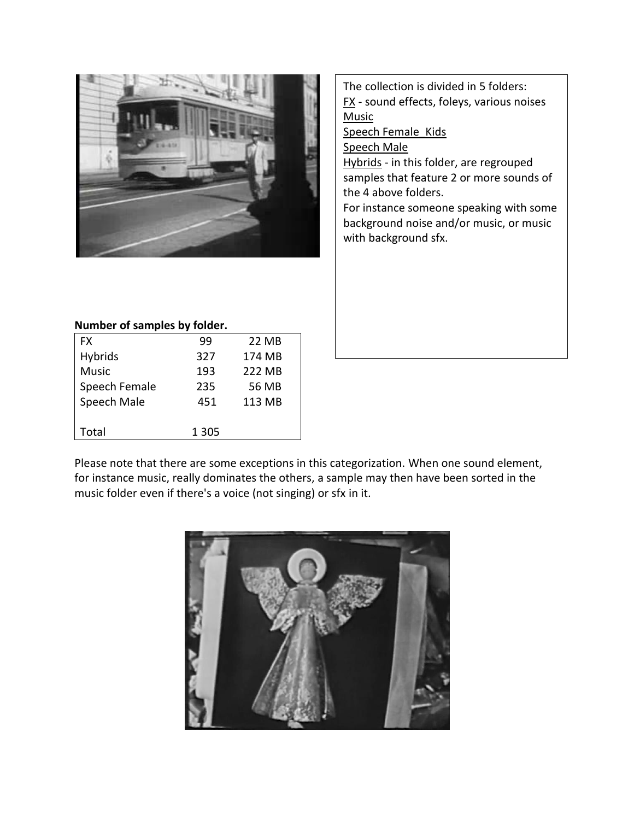

The collection is divided in 5 folders: FX - sound effects, foleys, various noises Music Speech Female\_Kids Speech Male Hybrids - in this folder, are regrouped samples that feature 2 or more sounds of the 4 above folders. For instance someone speaking with some background noise and/or music, or music with background sfx.

## **Number of samples by folder.**

| <b>FX</b>     | 99      | 22 MB  |
|---------------|---------|--------|
| Hybrids       | 327     | 174 MB |
| <b>Music</b>  | 193     | 222 MB |
| Speech Female | 235     | 56 MB  |
| Speech Male   | 451     | 113 MB |
|               |         |        |
| Total         | 1 3 0 5 |        |

Please note that there are some exceptions in this categorization. When one sound element, for instance music, really dominates the others, a sample may then have been sorted in the music folder even if there's a voice (not singing) or sfx in it.

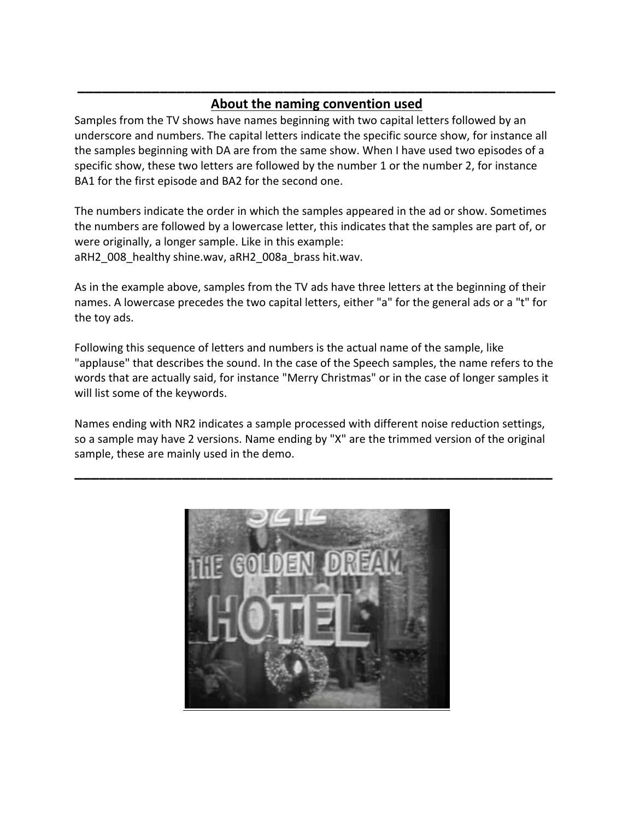## **\_\_\_\_\_\_\_\_\_\_\_\_\_\_\_\_\_\_\_\_\_\_\_\_\_\_\_\_\_\_\_\_\_\_\_\_\_\_\_\_\_\_\_\_\_\_\_\_\_\_\_\_\_\_\_\_\_\_ About the naming convention used**

Samples from the TV shows have names beginning with two capital letters followed by an underscore and numbers. The capital letters indicate the specific source show, for instance all the samples beginning with DA are from the same show. When I have used two episodes of a specific show, these two letters are followed by the number 1 or the number 2, for instance BA1 for the first episode and BA2 for the second one.

The numbers indicate the order in which the samples appeared in the ad or show. Sometimes the numbers are followed by a lowercase letter, this indicates that the samples are part of, or were originally, a longer sample. Like in this example: aRH2\_008\_healthy shine.wav, aRH2\_008a\_brass hit.wav.

As in the example above, samples from the TV ads have three letters at the beginning of their names. A lowercase precedes the two capital letters, either "a" for the general ads or a "t" for the toy ads.

Following this sequence of letters and numbers is the actual name of the sample, like "applause" that describes the sound. In the case of the Speech samples, the name refers to the words that are actually said, for instance "Merry Christmas" or in the case of longer samples it will list some of the keywords.

Names ending with NR2 indicates a sample processed with different noise reduction settings, so a sample may have 2 versions. Name ending by "X" are the trimmed version of the original sample, these are mainly used in the demo.

**\_\_\_\_\_\_\_\_\_\_\_\_\_\_\_\_\_\_\_\_\_\_\_\_\_\_\_\_\_\_\_\_\_\_\_\_\_\_\_\_\_\_\_\_\_\_\_\_\_\_\_\_\_\_\_\_\_\_**

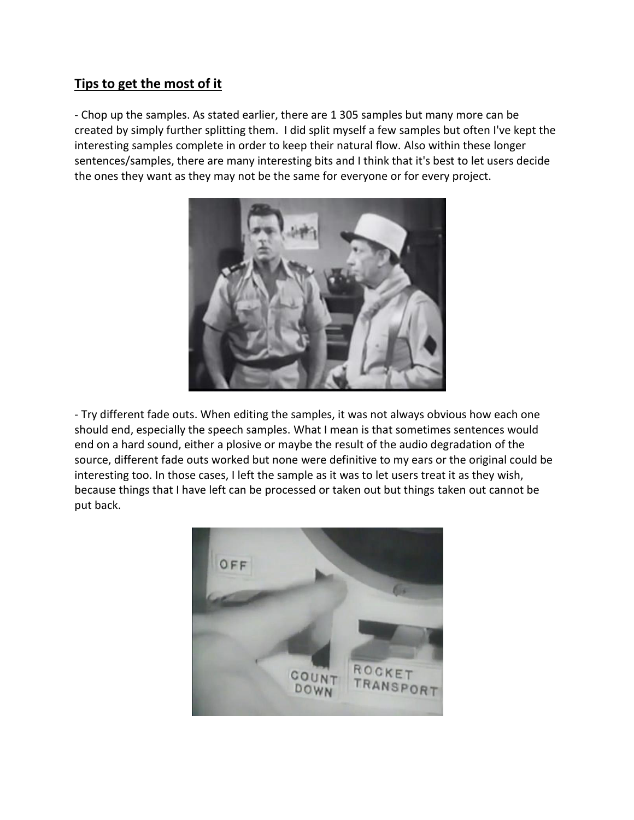## **Tips to get the most of it**

- Chop up the samples. As stated earlier, there are 1 305 samples but many more can be created by simply further splitting them. I did split myself a few samples but often I've kept the interesting samples complete in order to keep their natural flow. Also within these longer sentences/samples, there are many interesting bits and I think that it's best to let users decide the ones they want as they may not be the same for everyone or for every project.



- Try different fade outs. When editing the samples, it was not always obvious how each one should end, especially the speech samples. What I mean is that sometimes sentences would end on a hard sound, either a plosive or maybe the result of the audio degradation of the source, different fade outs worked but none were definitive to my ears or the original could be interesting too. In those cases, I left the sample as it was to let users treat it as they wish, because things that I have left can be processed or taken out but things taken out cannot be put back.

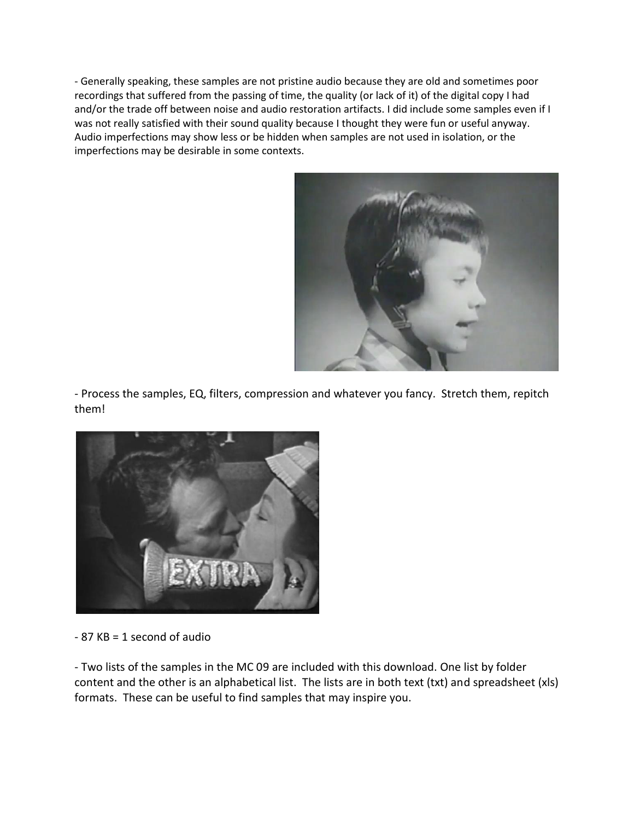- Generally speaking, these samples are not pristine audio because they are old and sometimes poor recordings that suffered from the passing of time, the quality (or lack of it) of the digital copy I had and/or the trade off between noise and audio restoration artifacts. I did include some samples even if I was not really satisfied with their sound quality because I thought they were fun or useful anyway. Audio imperfections may show less or be hidden when samples are not used in isolation, or the imperfections may be desirable in some contexts.



- Process the samples, EQ, filters, compression and whatever you fancy. Stretch them, repitch them!



- 87 KB = 1 second of audio

- Two lists of the samples in the MC 09 are included with this download. One list by folder content and the other is an alphabetical list. The lists are in both text (txt) and spreadsheet (xls) formats. These can be useful to find samples that may inspire you.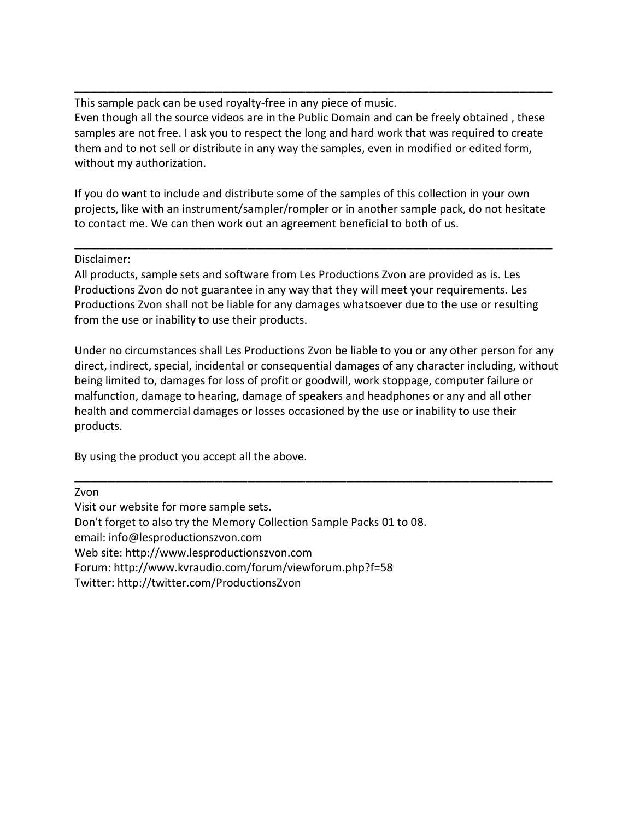This sample pack can be used royalty-free in any piece of music.

Even though all the source videos are in the Public Domain and can be freely obtained , these samples are not free. I ask you to respect the long and hard work that was required to create them and to not sell or distribute in any way the samples, even in modified or edited form, without my authorization.

**\_\_\_\_\_\_\_\_\_\_\_\_\_\_\_\_\_\_\_\_\_\_\_\_\_\_\_\_\_\_\_\_\_\_\_\_\_\_\_\_\_\_\_\_\_\_\_\_\_\_\_\_\_\_\_\_\_\_**

If you do want to include and distribute some of the samples of this collection in your own projects, like with an instrument/sampler/rompler or in another sample pack, do not hesitate to contact me. We can then work out an agreement beneficial to both of us.

**\_\_\_\_\_\_\_\_\_\_\_\_\_\_\_\_\_\_\_\_\_\_\_\_\_\_\_\_\_\_\_\_\_\_\_\_\_\_\_\_\_\_\_\_\_\_\_\_\_\_\_\_\_\_\_\_\_\_**

Disclaimer:

All products, sample sets and software from Les Productions Zvon are provided as is. Les Productions Zvon do not guarantee in any way that they will meet your requirements. Les Productions Zvon shall not be liable for any damages whatsoever due to the use or resulting from the use or inability to use their products.

Under no circumstances shall Les Productions Zvon be liable to you or any other person for any direct, indirect, special, incidental or consequential damages of any character including, without being limited to, damages for loss of profit or goodwill, work stoppage, computer failure or malfunction, damage to hearing, damage of speakers and headphones or any and all other health and commercial damages or losses occasioned by the use or inability to use their products.

**\_\_\_\_\_\_\_\_\_\_\_\_\_\_\_\_\_\_\_\_\_\_\_\_\_\_\_\_\_\_\_\_\_\_\_\_\_\_\_\_\_\_\_\_\_\_\_\_\_\_\_\_\_\_\_\_\_\_**

By using the product you accept all the above.

Zvon

Visit our website for more sample sets.

Don't forget to also try the Memory Collection Sample Packs 01 to 08.

email: info@lesproductionszvon.com

Web site: http://www.lesproductionszvon.com

Forum: http://www.kvraudio.com/forum/viewforum.php?f=58

Twitter: http://twitter.com/ProductionsZvon